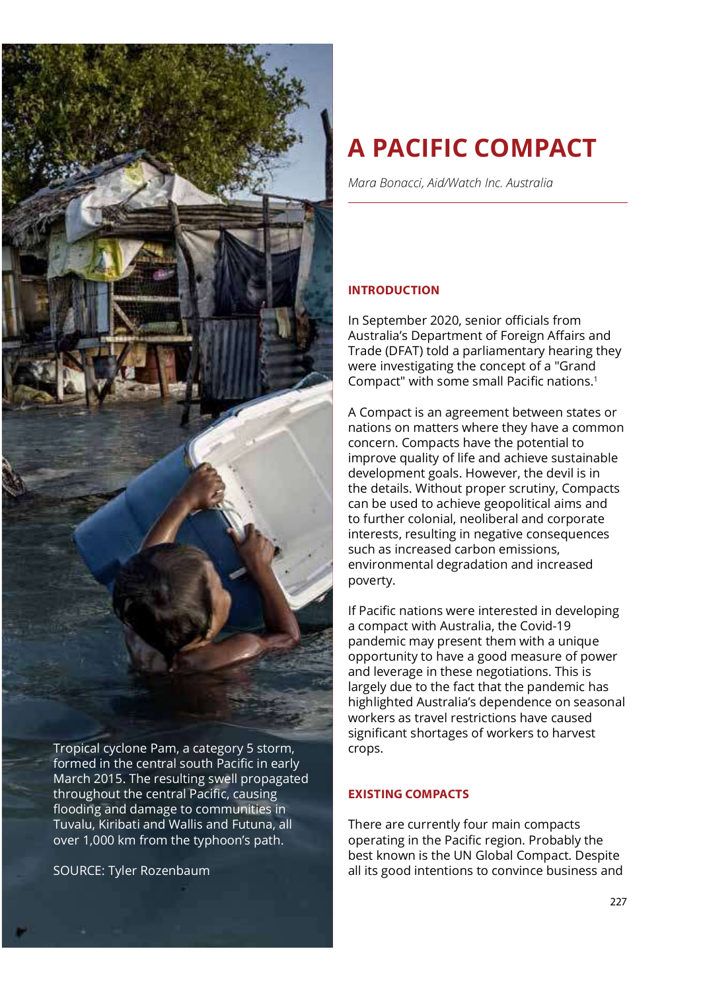

formed in the central south Pacific in early March 2015. The resulting swell propagated throughout the central Pacific, causing flooding and damage to communities in Tuvalu, Kiribati and Wallis and Futuna, all over 1,000 km from the typhoon's path.

SOURCE: Tyler Rozenbaum

# A PACIFIC COMPACT

Mara Bonacci, Aid/Watch Inc. Australia

# INTRODUCTION

In September 2020, senior officials from Australia's Department of Foreign Affairs and Trade (DFAT) told a parliamentary hearing they were investigating the concept of a "Grand Compact" with some small Pacific nations.<sup>1</sup>

A Compact is an agreement between states or nations on matters where they have a common concern. Compacts have the potential to improve quality of life and achieve sustainable development goals. However, the devil is in the details. Without proper scrutiny, Compacts can be used to achieve geopolitical aims and to further colonial, neoliberal and corporate interests, resulting in negative consequences such as increased carbon emissions. environmental degradation and increased poverty.

If Pacific nations were interested in developing a compact with Australia, the Covid-19 pandemic may present them with a unique opportunity to have a good measure of power and leverage in these negotiations. This is largely due to the fact that the pandemic has highlighted Australia's dependence on seasonal workers as travel restrictions have caused significant shortages of workers to harvest crops.

## EXISTING COMPACTS

There are currently four main compacts operating in the Pacific region. Probably the best known is the UN Global Compact. Despite all its good intentions to convince business and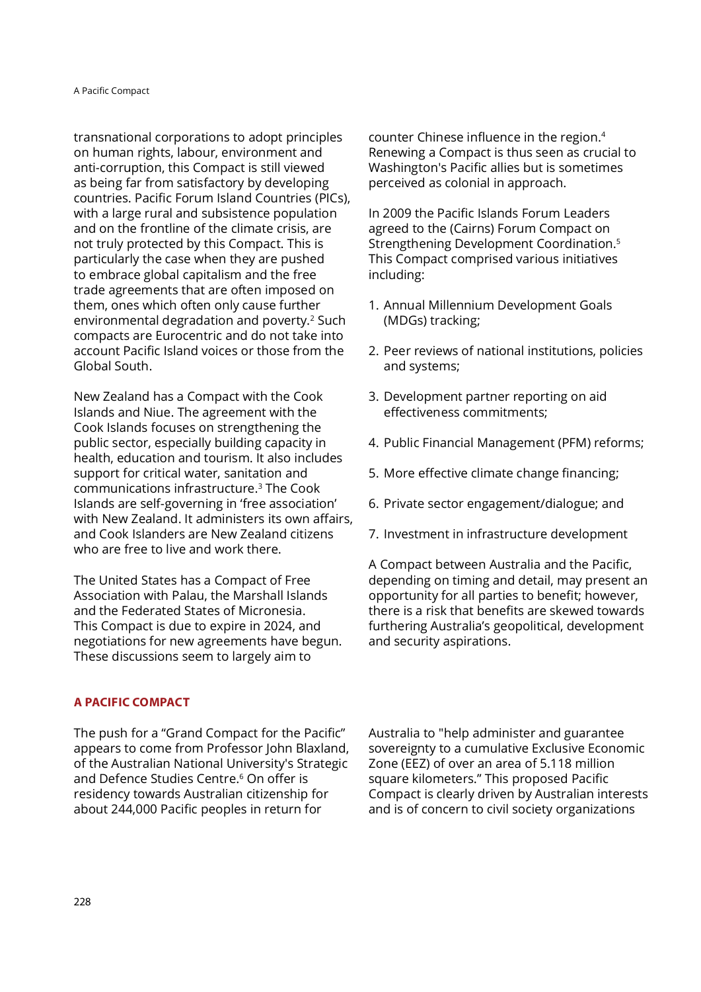transnational corporations to adopt principles on human rights, labour, environment and anti-corruption, this Compact is still viewed as being far from satisfactory by developing countries. Pacific Forum Island Countries (PICs), with a large rural and subsistence population and on the frontline of the climate crisis, are not truly protected by this Compact. This is particularly the case when they are pushed to embrace global capitalism and the free trade agreements that are often imposed on them, ones which often only cause further environmental degradation and poverty.<sup>2</sup> Such compacts are Eurocentric and do not take into account Pacific Island voices or those from the  $\hskip 4mm$  2. Peer reviews of national institutions, policies Global South.

New Zealand has a Compact with the Cook Islands and Niue. The agreement with the Cook Islands focuses on strengthening the public sector, especially building capacity in health, education and tourism. It also includes support for critical water, sanitation and communications infrastructure. $^3$  The Cook  $^-$ Islands are self-governing in 'free association' with New Zealand. It administers its own affairs, and Cook Islanders are New Zealand citizens who are free to live and work there.

The United States has a Compact of Free Association with Palau, the Marshall Islands and the Federated States of Micronesia. This Compact is due to expire in 2024, and negotiations for new agreements have begun. These discussions seem to largely aim to

A PACIFIC COMPACT

The push for a "Grand Compact for the Pacific" appears to come from Professor John Blaxland, of the Australian National University's Strategic and Defence Studies Centre.<sup>6</sup> On offer is residency towards Australian citizenship for about 244,000 Pacific peoples in return for

counter Chinese influence in the region.<sup>4</sup> Renewing a Compact is thus seen as crucial to Washington's Pacific allies but is sometimes perceived as colonial in approach.

In 2009 the Pacific Islands Forum Leaders agreed to the (Cairns) Forum Compact on Strengthening Development Coordination.<sup>5</sup> This Compact comprised various initiatives including:

- 1. Annual Millennium Development Goals (MDGs) tracking;
- and systems;
- 3. Development partner reporting on aid effectiveness commitments;
- 4. Public Financial Management (PFM) reforms;
- 5. More effective climate change financing;
- 6. Private sector engagement/dialogue; and
- 7. Investment in infrastructure development

A Compact between Australia and the Pacific, depending on timing and detail, may present an opportunity for all parties to benefit; however, there is a risk that benefits are skewed towards furthering Australia's geopolitical, development and security aspirations.

s Strategic  $\;$  Zone (EEZ) of over an area of 5.118 million  $^6$  On offer is  $^6$  square kilometers." This proposed Pacific  $\,$ Australia to "help administer and guarantee sovereignty to a cumulative Exclusive Economic Compact is clearly driven by Australian interests and is of concern to civil society organizations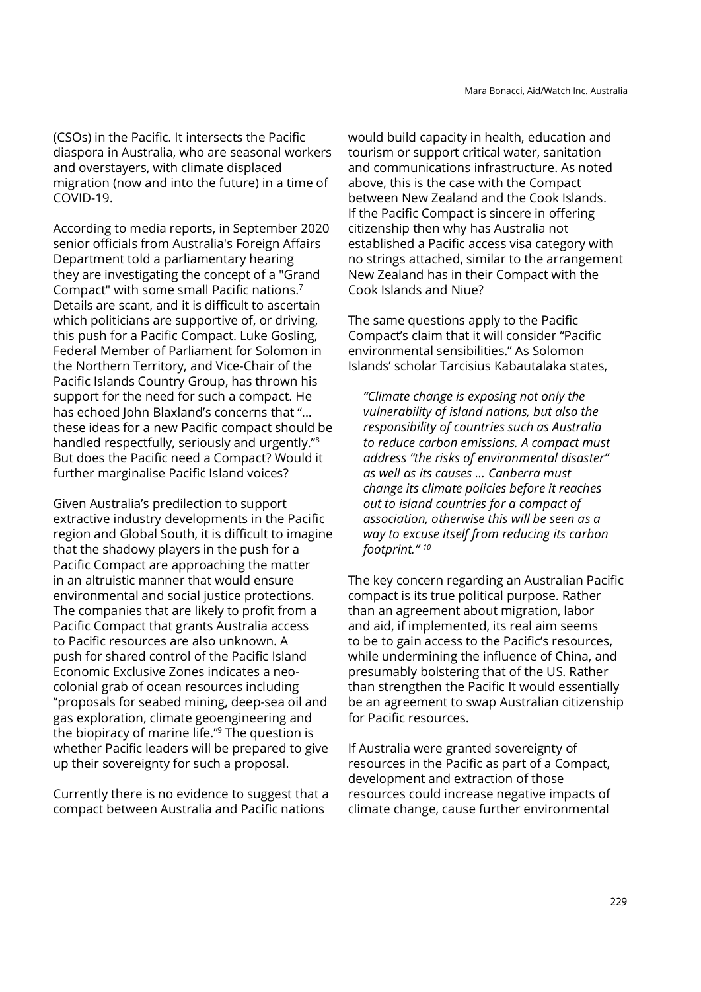(CSOs) in the Pacific. It intersects the Pacific diaspora in Australia, who are seasonal workers and overstayers, with climate displaced migration (now and into the future) in a time of COVID-19.

According to media reports, in September 2020 senior officials from Australia's Foreign Affairs Department told a parliamentary hearing they are investigating the concept of a "Grand Compact" with some small Pacific nations.<sup>7</sup> Details are scant, and it is difficult to ascertain which politicians are supportive of, or driving, this push for a Pacific Compact. Luke Gosling, Federal Member of Parliament for Solomon in the Northern Territory, and Vice-Chair of the Pacific Islands Country Group, has thrown his support for the need for such a compact. He has echoed John Blaxland's concerns that "... these ideas for a new Pacific compact should be handled respectfully, seriously and urgently."<sup>8</sup> But does the Pacific need a Compact? Would it further marginalise Pacific Island voices?

Given Australia's predilection to support extractive industry developments in the Pacific region and Global South, it is difficult to imagine that the shadowy players in the push for a Pacific Compact are approaching the matter in an altruistic manner that would ensure environmental and social justice protections. The companies that are likely to profit from a Pacific Compact that grants Australia access to Paciȴc resources are also unknown. A push for shared control of the Pacific Island Economic Exclusive Zones indicates a neocolonial grab of ocean resources including "proposals for seabed mining, deep-sea oil and gas exploration, climate geoengineering and the biopiracy of marine life." $9$  The question is whether Pacific leaders will be prepared to give up their sovereignty for such a proposal.

Currently there is no evidence to suggest that a compact between Australia and Pacific nations

would build capacity in health, education and tourism or support critical water, sanitation and communications infrastructure. As noted above, this is the case with the Compact between New Zealand and the Cook Islands. If the Pacific Compact is sincere in offering citizenship then why has Australia not established a Pacific access visa category with no strings attached, similar to the arrangement New Zealand has in their Compact with the Cook Islands and Niue?

The same questions apply to the Pacific Compact's claim that it will consider "Pacific environmental sensibilities." As Solomon Islands' scholar Tarcisius Kabautalaka states,

"Climate change is exposing not only the vulnerability of island nations, but also the responsibility of countries such as Australia to reduce carbon emissions. A compact must address "the risks of environmental disaster" as well as its causes ... Canberra must change its climate policies before it reaches out to island countries for a compact of association, otherwise this will be seen as a way to excuse itself from reducing its carbon footprint."<sup>10</sup>

The key concern regarding an Australian Pacific compact is its true political purpose. Rather than an agreement about migration, labor and aid, if implemented, its real aim seems to be to gain access to the Pacific's resources, while undermining the influence of China, and presumably bolstering that of the US. Rather than strengthen the Pacific It would essentially be an agreement to swap Australian citizenship for Pacific resources.

If Australia were granted sovereignty of resources in the Pacific as part of a Compact, development and extraction of those resources could increase negative impacts of climate change, cause further environmental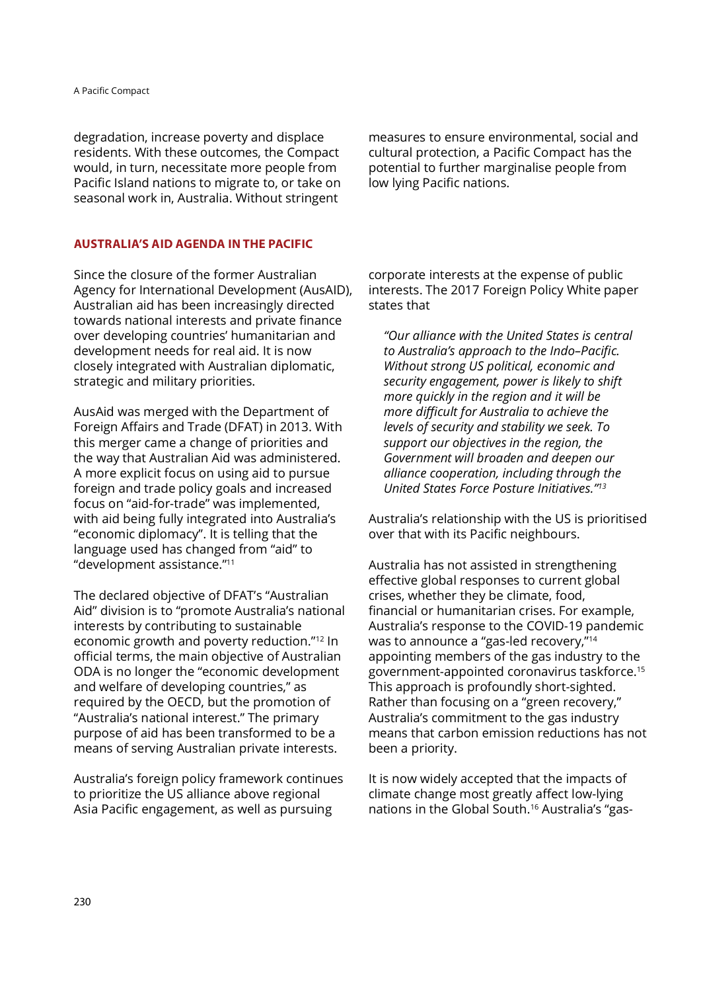degradation, increase poverty and displace residents. With these outcomes, the Compact Pacific Island nations to migrate to, or take on seasonal work in, Australia. Without stringent

would, in turn, necessitate more people from potential to further marginalise people from measures to ensure environmental, social and cultural protection, a Pacific Compact has the low lying Pacific nations.

#### AUSTRALIA'S AID AGENDA IN THE PACIFIC

Since the closure of the former Australian Agency for International Development (AusAID), Australian aid has been increasingly directed towards national interests and private finance over developing countries' humanitarian and development needs for real aid. It is now closely integrated with Australian diplomatic, strategic and military priorities.

AusAid was merged with the Department of Foreign Affairs and Trade (DFAT) in 2013. With this merger came a change of priorities and the way that Australian Aid was administered. A more explicit focus on using aid to pursue foreign and trade policy goals and increased focus on "aid-for-trade" was implemented, with aid being fully integrated into Australia's "economic diplomacy". It is telling that the language used has changed from "aid" to "development assistance."<sup>11</sup>

The declared objective of DFAT's "Australian Aid" division is to "promote Australia's national interests by contributing to sustainable economic growth and poverty reduction."<sup>12</sup> In official terms, the main objective of Australian ODA is no longer the "economic development and welfare of developing countries," as required by the OECD, but the promotion of "Australia's national interest." The primary purpose of aid has been transformed to be a means of serving Australian private interests.

Australia's foreign policy framework continues to prioritize the US alliance above regional Asia Pacific engagement, as well as pursuing

corporate interests at the expense of public interests. The 2017 Foreign Policy White paper states that

"Our alliance with the United States is central to Australia's approach to the Indo-Pacific. Without strong US political, economic and security engagement, power is likely to shift more quickly in the region and it will be more difficult for Australia to achieve the levels of security and stability we seek. To support our objectives in the region, the Government will broaden and deepen our alliance cooperation, including through the United States Force Posture Initiatives."

Australia's relationship with the US is prioritised over that with its Pacific neighbours.

Australia has not assisted in strengthening effective global responses to current global crises, whether they be climate, food, financial or humanitarian crises. For example, Australia's response to the COVID-19 pandemic was to announce a "gas-led recovery,"<sup>14</sup> appointing members of the gas industry to the government-appointed coronavirus taskforce.<sup>15</sup> This approach is profoundly short-sighted. Rather than focusing on a "green recovery," Australia's commitment to the gas industry means that carbon emission reductions has not been a priority.

It is now widely accepted that the impacts of climate change most greatly affect low-lying nations in the Global South.<sup>16</sup> Australia's "gas-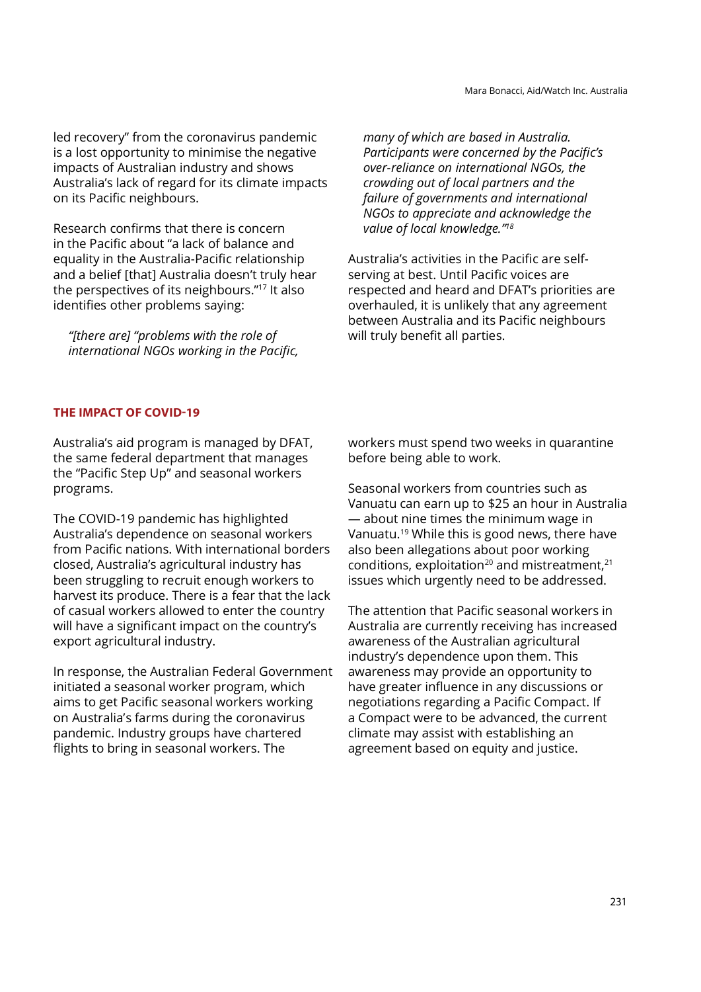led recovery" from the coronavirus pandemic is a lost opportunity to minimise the negative impacts of Australian industry and shows Australia's lack of regard for its climate impacts on its Pacific neighbours.

Research conȴrms that there is concern in the Pacific about "a lack of balance and equality in the Australia-Pacific relationship and a belief [that] Australia doesn't truly hear the perspectives of its neighbours."<sup>17</sup> It also identifies other problems saying:

"[there are] "problems with the role of international NGOs working in the Pacific. many of which are based in Australia. Participants were concerned by the Pacific's over-reliance on international NGOs, the crowding out of local partners and the failure of governments and international NGOs to appreciate and acknowledge the value of local knowledge."<sup>18</sup>

Australia's activities in the Pacific are selfserving at best. Until Pacific voices are respected and heard and DFAT's priorities are overhauled, it is unlikely that any agreement between Australia and its Pacific neighbours will truly benefit all parties.

### THE IMPACT OF COVID-19

Australia's aid program is managed by DFAT, the same federal department that manages the "Pacific Step Up" and seasonal workers programs.

The COVID-19 pandemic has highlighted Australia's dependence on seasonal workers from Pacific nations. With international borders closed, Australia's agricultural industry has been struggling to recruit enough workers to harvest its produce. There is a fear that the lack of casual workers allowed to enter the country will have a significant impact on the country's export agricultural industry.

In response, the Australian Federal Government initiated a seasonal worker program, which aims to get Pacific seasonal workers working on Australia's farms during the coronavirus pandemic. Industry groups have chartered flights to bring in seasonal workers. The

workers must spend two weeks in quarantine before being able to work.

Seasonal workers from countries such as Vanuatu can earn up to \$25 an hour in Australia — about nine times the minimum wage in Vanuatu.19 While this is good news, there have also been allegations about poor working conditions, exploitation<sup>20</sup> and mistreatment,<sup>21</sup> issues which urgently need to be addressed.

The attention that Pacific seasonal workers in Australia are currently receiving has increased awareness of the Australian agricultural industry's dependence upon them. This awareness may provide an opportunity to have greater influence in any discussions or negotiations regarding a Pacific Compact. If a Compact were to be advanced, the current climate may assist with establishing an agreement based on equity and justice.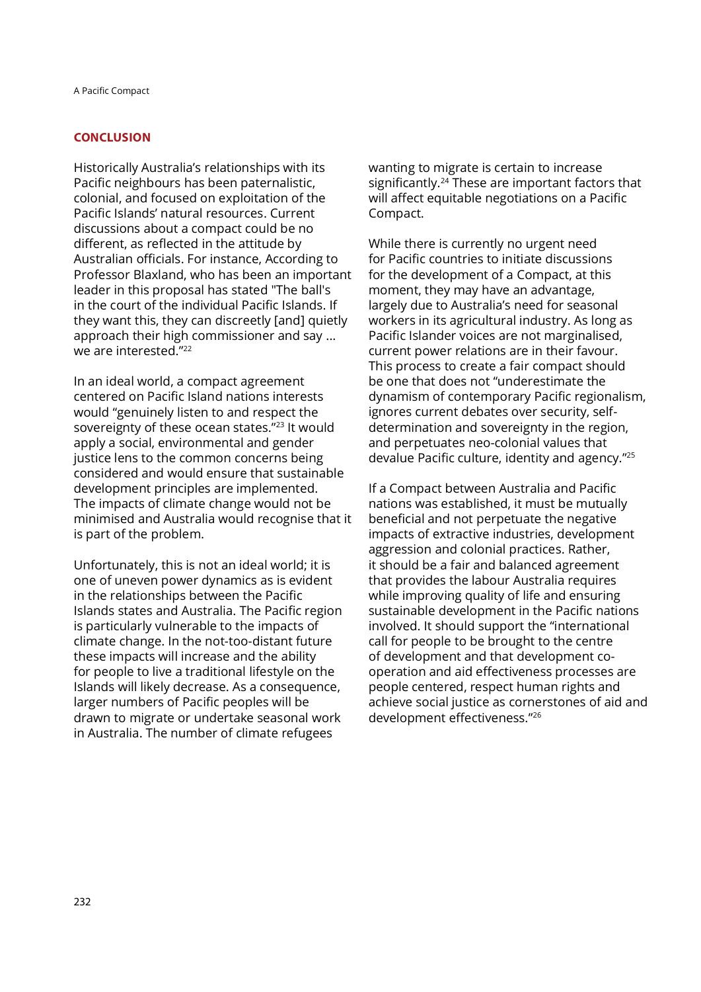#### **CONCLUSION**

Historically Australia's relationships with its Pacific neighbours has been paternalistic, colonial, and focused on exploitation of the Pacific Islands' natural resources. Current discussions about a compact could be no different, as reflected in the attitude by Australian officials. For instance, According to Professor Blaxland, who has been an important leader in this proposal has stated "The ball's in the court of the individual Pacific Islands. If they want this, they can discreetly [and] quietly approach their high commissioner and say ... we are interested. $"^{22}$ 

In an ideal world, a compact agreement centered on Paciȴc Island nations interests would "genuinely listen to and respect the sovereignty of these ocean states."<sup>23</sup> It would apply a social, environmental and gender justice lens to the common concerns being considered and would ensure that sustainable development principles are implemented. The impacts of climate change would not be minimised and Australia would recognise that it is part of the problem.

Unfortunately, this is not an ideal world; it is one of uneven power dynamics as is evident in the relationships between the Pacific Islands states and Australia. The Pacific region is particularly vulnerable to the impacts of climate change. In the not-too-distant future these impacts will increase and the ability for people to live a traditional lifestyle on the Islands will likely decrease. As a consequence, larger numbers of Pacific peoples will be drawn to migrate or undertake seasonal work in Australia. The number of climate refugees

wanting to migrate is certain to increase significantly.<sup>24</sup> These are important factors that will affect equitable negotiations on a Pacific Compact.

s comment, they may have an advantage, comments they may While there is currently no urgent need for Pacific countries to initiate discussions for the development of a Compact, at this largely due to Australia's need for seasonal workers in its agricultural industry. As long as Pacific Islander voices are not marginalised, current power relations are in their favour. This process to create a fair compact should be one that does not "underestimate the dynamism of contemporary Pacific regionalism, ignores current debates over security, selfdetermination and sovereignty in the region, and perpetuates neo-colonial values that devalue Pacific culture, identity and agency."<sup>25</sup>

If a Compact between Australia and Pacific nations was established, it must be mutually beneficial and not perpetuate the negative impacts of extractive industries, development aggression and colonial practices. Rather, it should be a fair and balanced agreement that provides the labour Australia requires while improving quality of life and ensuring sustainable development in the Pacific nations involved. It should support the "international call for people to be brought to the centre of development and that development cooperation and aid effectiveness processes are people centered, respect human rights and achieve social justice as cornerstones of aid and development effectiveness."<sup>26</sup>